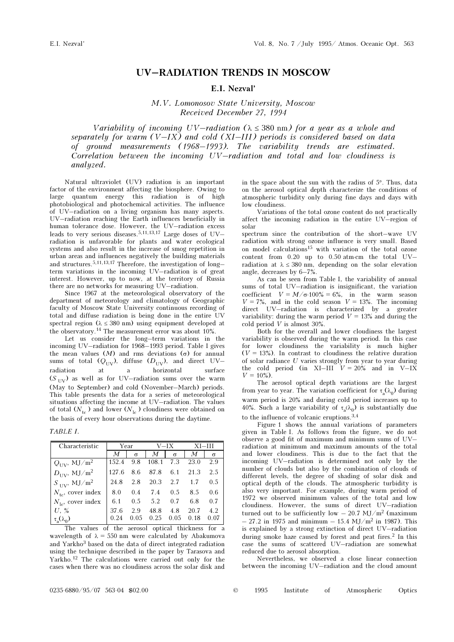## UV–RADIATION TRENDS IN MOSCOW

## E.I. Nezval'

M.V. Lomonosov State University, Moscow Received December 27, 1994

Variability of incoming  $UV-radiation$  ( $\lambda \leq 380$  nm) for a year as a whole and separately for warm (V-IX) and cold (XI-III) periods is considered based on data of ground measurements (1968–1993). The variability trends are estimated. Correlation between the incoming UV–radiation and total and low cloudiness is analyzed.

Natural ultraviolet (UV) radiation is an important factor of the environment affecting the biosphere. Owing to large quantum energy this radiation is of high photobiological and photochemical activities. The influence of UV–radiation on a living organism has many aspects. UV–radiation reaching the Earth influences beneficially in human tolerance dose. However, the UV–radiation excess leads to very serious diseases.<sup>5,11,13,17</sup> Large doses of UV– radiation is unfavorable for plants and water ecological systems and also result in the increase of smog repetition in urban areas and influences negatively the building materials and structures.5,11,13,17 Therefore, the investigation of long– term variations in the incoming UV–radiation is of great interest. However, up to now, at the territory of Russia there are no networks for measuring UV–radiation.

Since 1967 at the meteorological observatory of the department of meteorology and climatology of Geographic faculty of Moscow State University continuous recording of total and diffuse radiation is being done in the entire UV spectral region ( $\lambda \leq 380$  nm) using equipment developed at the observatory.14 The measurement error was about 10%.

Let us consider the long–term variations in the incoming UV–radiation for 1968–1993 period. Table I gives the mean values  $(M)$  and rms deviations  $(σ)$  for annual sums of total  $(Q_{UV})$ , diffuse  $(D_{UV})$ , and direct UV– radiation at a horizontal surface  $(S<sub>UV</sub>)$  as well as for UV–radiation sums over the warm (May to September) and cold (November–March) periods. This table presents the data for a series of meteorological situations affecting the income at UV–radiation. The values of total  $(N_{tc})$  and lower  $(N_{lc})$  cloudiness were obtained on the basis of every hour observations during the daytime.

TABLE I.

| Characteristic                      | Year  |          | V—IX  |          | $XI-III$ |          |
|-------------------------------------|-------|----------|-------|----------|----------|----------|
|                                     | M     | $\sigma$ | M     | $\sigma$ | M        | $\sigma$ |
| $Q_{\text{UV}}$ , MJ/m <sup>2</sup> | 152.4 | 9.8      | 108.1 | 7.3      | 23.0     | 2.9      |
| $D_{\text{UV}}$ , MJ/m <sup>2</sup> | 127.6 | 8.6      | 87.8  | 6.1      | 21.3     | 2.5      |
| $S_{\text{UV}}$ , MJ/m <sup>2</sup> | 24.8  | 2.8      | 20.3  | 2.7      | 1.7      | 0.5      |
| $N_{\text{tc}}$ , cover index       | 8.0   | 0.4      | 7.4   | 0.5      | 8.5      | 0.6      |
| $N_{1c}$ , cover index              | 6.1   | 0.5      | 5.2   | 0.7      | 6.8      | 0.7      |
| $U,~\%$                             | 37.6  | 2.9      | 48.8  | 4.8      | 20.7     | 4.2      |
| $\tau_{\rm a}(\lambda_0)$           | 0.24  | 0.05     | 0.25  | 0.05     | 0.18     | 0.07     |

The values of the aerosol optical thickness for a wavelength of  $\lambda = 550$  nm were calculated by Abakumova and Yarkho3 based on the data of direct integrated radiation using the technique described in the paper by Tarasova and Yarkho.12 The calculations were carried out only for the cases when there was no cloudiness across the solar disk and

in the space about the sun with the radius of 5°. Thus, data on the aerosol optical depth characterize the conditions of atmospheric turbidity only during fine days and days with low cloudiness.

Variations of the total ozone content do not practically affect the incoming radiation in the entire UV–region of solar

spectrum since the contribution of the short–wave UV radiation with strong ozone influence is very small. Based on model calculations15 with variation of the total ozone content from 0.20 up to 0.50 atm⋅cm the total UV– radiation at  $\lambda \leq 380$  nm, depending on the solar elevation angle, decreases by 6–7%.

As can be seen from Table I, the variability of annual sums of total UV–radiation is insignificant, the variation coefficient  $V = M/\sigma \cdot 100\% = 6\%$ , in the warm season  $V = 7\%$ , and in the cold season  $V = 13\%$ . The incoming direct UV–radiation is characterized by a greater variability: during the warm period  $V = 13\%$  and during the cold period V is almost 30%.

Both for the overall and lower cloudiness the largest variability is observed during the warm period. In this case for lower cloudiness the variability is much higher  $(V = 13\%)$ . In contrast to cloudiness the relative duration of solar radiance U varies strongly from year to year during the cold period (in XI–III  $V = 20\%$  and in V–IX  $V = 10\%)$ .

The aerosol optical depth variations are the largest from year to year. The variation coefficient for  $\tau_{\alpha}(\lambda_0)$  during warm period is 20% and during cold period increases up to 40%. Such a large variability of  $\tau_a(\lambda_0)$  is substantially due to the influence of volcanic eruptions.3,4

Figure 1 shows the annual variations of parameters given in Table I. As follows from the figure, we do not observe a good fit of maximum and minimum sums of UV– radiation at minimum and maximum amounts of the total and lower cloudiness. This is due to the fact that the incoming UV–radiation is determined not only by the number of clouds but also by the combination of clouds of different levels, the degree of shading of solar disk and optical depth of the clouds. The atmospheric turbidity is also very important. For example, during warm period of 1972 we observed minimum values of the total and low cloudiness. However, the sums of direct UV–radiation turned out to be sufficiently low  $-$  20.7 MJ/m<sup>2</sup> (maximum  $-27.2$  in 1975 and minimum  $-15.4$  MJ/m<sup>2</sup> in 1987). This is explained by a strong extinction of direct UV–radiation during smoke haze caused by forest and peat fires.<sup>2</sup> In this case the sums of scattered UV–radiation are somewhat reduced due to aerosol absorption.

Nevertheless, we observed a close linear connection between the incoming UV–radiation and the cloud amount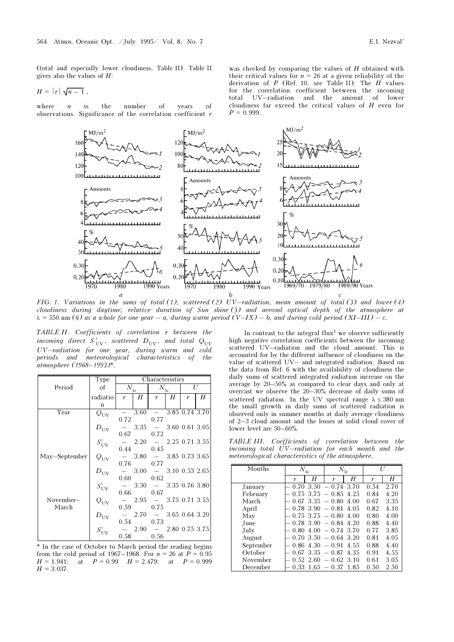(total and especially lower cloudiness, Table II). Table II gives also the values of  $H$ :

$$
H = |r| \sqrt{n-1} ,
$$

where  $n$  is the number of years of observations. Significance of the correlation coefficient r

was checked by comparing the values of H obtained with their critical values for  $n = 26$  at a given reliability of the derivation of  $P$  (Ref. 10, see Table II). The  $H$  values for the correlation coefficient between the incoming total UV–radiation and the amount of lower cloudiness far exceed the critical values of H even for  $P = 0.999$ .



FIG. 1. Variations in the sums of total (1), scattered (2) UV–radiation, mean amount of total (3) and lower (4) cloudiness during daytime, relative duration of Sun shine (5) and aerosol optical depth of the atmosphere at  $\lambda = 550$  nm (6) as a whole for one year – a, during warm period (V–IX) – b, and during cold period (XI–III) – c.

TABLE II. Coefficients of correlation r between the incoming direct  $S'_{UV}$ , scattered  $D_{UV}$ , and total  $Q_{UV}$ UV–radiation for one year, during warm and cold periods and meteorological characteristics of the atmosphere (1968–1993)\*.

|               | Type                                                               | Characteristics |              |                          |                   |                |   |  |
|---------------|--------------------------------------------------------------------|-----------------|--------------|--------------------------|-------------------|----------------|---|--|
| Period        | of                                                                 |                 | $N_{\rm tc}$ |                          | $N_{\rm lc}$      |                | U |  |
|               | radiatio                                                           | r               | H            | r                        | H                 | r              | Н |  |
|               | $\mathbf n$                                                        |                 |              |                          |                   |                |   |  |
| Year          | $Q_{UV}$                                                           |                 | 3.60         | $\sim$                   |                   | 3.85 0.74 3.70 |   |  |
|               |                                                                    | 0.72            |              | 0.77                     |                   |                |   |  |
|               | $D_{\rm UV}$                                                       |                 |              | $3.35 - 3.60 0.61 3.05$  |                   |                |   |  |
|               |                                                                    | 0.67            |              | 0.72                     |                   |                |   |  |
|               |                                                                    |                 | $-2.20$      |                          | $-2.25$ 0.71 3.55 |                |   |  |
|               |                                                                    | 0.44            |              | 0.45                     |                   |                |   |  |
| May-September | $S'_{UV}$<br>$Q_{UV}$                                              |                 |              | $3.80 - 3.85 0.73 3.65$  |                   |                |   |  |
|               |                                                                    | 0.76            |              | 0.77                     |                   |                |   |  |
|               | $\begin{aligned} D_{\rm UV} \\ S_{\rm UV}^\prime \\ \end{aligned}$ |                 |              | $-3.00 - 3.10 0.53 2.65$ |                   |                |   |  |
|               |                                                                    | 0.60            |              | 0.62                     |                   |                |   |  |
|               |                                                                    |                 |              | $-3.30 - 3.35 0.76 3.80$ |                   |                |   |  |
|               |                                                                    | 0.66            |              | 0.67                     |                   |                |   |  |
| November-     | $Q_{\rm UV}$                                                       |                 |              | $2.95 - 3.75 0.71 3.55$  |                   |                |   |  |
| March         |                                                                    | 0.59            |              | 0.75                     |                   |                |   |  |
|               |                                                                    |                 |              | $2.70 - 3.65 0.64 3.20$  |                   |                |   |  |
|               | $D_{\rm UV}$ $S_{\rm UV}^\prime$                                   |                 | 0.54         | 0.73                     |                   |                |   |  |
|               |                                                                    |                 |              | $2.90 - 2.80 0.75 3.75$  |                   |                |   |  |
|               |                                                                    | 0.58            |              | 0.56                     |                   |                |   |  |

\* In the case of October to March period the reading begins from the cold period of 1967–1968. For  $n = 26$  at  $\overline{P} = 0.95$  $H = 1.941$ ; at  $P = 0.99$   $H = 2.479$ ; at  $P = 0.999$  $H = 3.037$ .

In contrast to the integral  $flux<sup>1</sup>$  we observe sufficiently high negative correlation coefficients between the incoming scattered UV–radiation and the cloud amount. This is accounted for by the different influence of cloudiness on the value of scattered UV– and integrated radiation. Based on the data from Ref. 6 with the availability of cloudiness the daily sums of scattered integrated radiation increase on the average by 20–50% as compared to clear days and only at overcast we observe the 20–30% decrease of daily sums of scattered radiation. In the UV spectral range  $\lambda \leq 380$  nm the small growth in daily sums of scattered radiation is observed only in summer months at daily average cloudiness of 2–3 cloud amount and the losses at solid cloud cover of lower level are 50–60%.

TABLE III. Coefficients of correlation between the incoming total UV–radiation for each month and the meteorological characteristics of the atmosphere.

| Months    | $N_{\rm tc}$ |      | $N_{\rm lc}$                     |      | U    |      |
|-----------|--------------|------|----------------------------------|------|------|------|
|           | r            | Η    | r                                | Η    | r    | H    |
| January   | 0.70         | 3.50 | $-0.74$                          | 3.70 | 0.54 | 2.70 |
| February  | 0.75         | 3.75 | $-0.85$                          | 4.25 | 0.84 | 4.20 |
| March     | 0.67         | 3.35 | $-0.80$                          | 4.00 | 0.67 | 3.35 |
| April     | 0.78         | 3.90 | $-0.81$                          | 4.05 | 0.82 | 4.10 |
| May       | 0.75         | 3.75 | $-0.80$                          | 4.00 | 0.80 | 4.00 |
| June      | 0.78         | 3.90 | $-0.84$                          | 4 20 | 0.88 | 4.40 |
| July      | 0.80         | 4.00 | $-0.74$                          | 3.70 | 0.77 | 3.85 |
| August    | 0.70         | 3.50 | $-0.64$                          | 3 20 | 0.81 | 4.05 |
| September | 0.86         | 4.30 | 0.91<br>$\frac{1}{2}$            | 4.55 | 0.88 | 4.40 |
| October   | 0.67         | 3.35 | $-0.87$                          | 4.35 | 0.91 | 4.55 |
| November  | 0.52         | 2.60 | 0.62                             | 3.10 | 0.61 | 3.05 |
| December  | 0.33         | 1.65 | 0.37<br>$\overline{\phantom{m}}$ | 1.85 | 0.50 | 2.50 |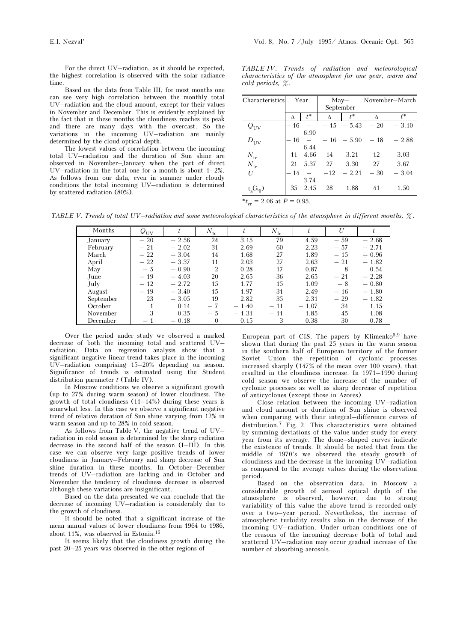For the direct UV–radiation, as it should be expected, the highest correlation is observed with the solar radiance time.

Based on the data from Table III, for most months one can see very high correlation between the monthly total UV–radiation and the cloud amount, except for their values in November and December. This is evidently explained by the fact that in these months the cloudiness reaches its peak and there are many days with the overcast. So the variations in the incoming UV–radiation are mainly determined by the cloud optical depth.

The lowest values of correlation between the incoming total UV–radiation and the duration of Sun shine are observed in November–January when the part of direct UV–radiation in the total one for a month is about 1–2%. As follows from our data, even in summer under cloudy conditions the total incoming UV–radiation is determined by scattered radiation (80%).

TABLE IV. Trends of radiation and meteorological characteristics of the atmosphere for one year, warm and cold periods, %.

| Characteristics     | Year       |      | $May-$ |              | November-March |         |  |
|---------------------|------------|------|--------|--------------|----------------|---------|--|
|                     |            |      |        | September    |                |         |  |
|                     | $t^*$<br>Δ |      | Λ      | $t^*$        | Δ              | $t^*$   |  |
| $Q_{UV}$            | - 16       |      |        | $-15 - 5.43$ | $-20$          | $-3.10$ |  |
|                     |            | 6.90 |        |              |                |         |  |
| $D_{\rm UV}$        | - 16       |      |        | $-16 - 5.90$ | $-18$          | $-2.88$ |  |
|                     |            | 6.44 |        |              |                |         |  |
| $N_{\rm tc}$        | 11         | 4.66 | 14     | 3.21         | 12             | 3.03    |  |
| $N_{\rm lc}$        | 21         | 5.37 | 27     | 3.30         | 27             | 3.67    |  |
| U                   | - 14       |      | $-12$  | $-2.21$      | $-30$          | $-3.04$ |  |
|                     |            | 3.74 |        |              |                |         |  |
| $\tau_a(\lambda_0)$ | 35         | 2.45 | 28     | 1.88         | 41             | 1.50    |  |

 $t_{cr} = 2.06$  at  $P = 0.95$ .

TABLE V. Trends of total UV–radiation and some meteorological characteristics of the atmosphere in different months,  $\%$ .

| Months    | $Q_{UV}$ |         | $N_{\rm tc}$   |         | $N_{\rm lc}$ |         |       |         |
|-----------|----------|---------|----------------|---------|--------------|---------|-------|---------|
| January   | $-20$    | $-2.56$ | 24             | 3.15    | 79           | 4.59    | $-59$ | $-2.68$ |
| February  | $-21$    | $-2.02$ | 31             | 2.69    | 60           | 2.23    | $-57$ | $-2.71$ |
| March     | $-22$    | $-3.04$ | 14             | 1.68    | 27           | 1.89    | $-15$ | $-0.96$ |
| April     | $-22$    | $-3.37$ | 11             | 2.03    | 27           | 2.63    | $-21$ | $-1.82$ |
| May       | $-5$     | $-0.90$ | $\mathfrak{D}$ | 0.28    | 17           | 0.87    | 8     | 0.54    |
| June      | $-19$    | $-4.03$ | 20             | 2.65    | 36           | 2.65    | $-21$ | $-2.28$ |
| July      | $-12$    | $-2.72$ | 15             | 1.77    | 15           | 1.09    | $-8$  | $-0.80$ |
| August    | $-19$    | $-3.40$ | 15             | 1.97    | 31           | 2.49    | $-16$ | $-1.80$ |
| September | 23       | $-3.05$ | 19             | 2.82    | 35           | 2.31    | $-29$ | $-1.82$ |
| October   |          | 0.14    | $-7$           | $-1.40$ | $-11$        | $-1.07$ | 34    | 1.15    |
| November  | 3        | 0.35    | $-5$           | $-1.31$ | $-11$        | 1.85    | 45    | 1.08    |
| December  |          | $-0.18$ | 0              | 0.15    | 3            | 0.38    | 30    | 0.78    |

Over the period under study we observed a marked decrease of both the incoming total and scattered UV– radiation. Data on regression analysis show that a significant negative linear trend takes place in the incoming UV–radiation comprising 15–20% depending on season. Significance of trends is estimated using the Student distribution parameter  $t$  (Table IV).

In Moscow conditions we observe a significant growth (up to 27% during warm season) of lower cloudiness. The growth of total cloudiness  $(11-14\%)$  during these years is somewhat less. In this case we observe a significant negative trend of relative duration of Sun shine varying from 12% in warm season and up to 28% in cold season.

As follows from Table V, the negative trend of UV– radiation in cold season is determined by the sharp radiation decrease in the second half of the season (I–III). In this case we can observe very large positive trends of lower cloudiness in January–February and sharp decrease of Sun shine duration in these months. In October–December trends of UV–radiation are lacking and in October and November the tendency of cloudiness decrease is observed although these variations are insignificant.

Based on the data presented we can conclude that the decrease of incoming UV–radiation is considerably due to the growth of cloudiness.

It should be noted that a significant increase of the mean annual values of lower cloudiness from 1964 to 1986, about 11%, was observed in Estonia.<sup>16</sup>

It seems likely that the cloudiness growth during the past 20–25 years was observed in the other regions of

European part of CIS. The papers by Klimenko $8,9$  have shown that during the past 25 years in the warm season in the southern half of European territory of the former Soviet Union the repetition of cyclonic processes increased sharply (147% of the mean over 100 years), that resulted in the cloudiness increase. In 1971–1990 during cold season we observe the increase of the number of cyclonic processes as well as sharp decrease of repetition of anticyclones (except those in Azores).

Close relation between the incoming UV–radiation and cloud amount or duration of Sun shine is observed when comparing with their integral–difference curves of distribution,<sup>7</sup> Fig. 2. This characteristics were obtained by summing deviations of the value under study for every year from its average. The dome–shaped curves indicate the existence of trends. It should be noted that from the middle of 1970's we observed the steady growth of cloudiness and the decrease in the incoming UV–radiation as compared to the average values during the observation period.

Based on the observation data, in Moscow a considerable growth of aerosol optical depth of the atmosphere is observed, however, due to strong variability of this value the above trend is recorded only over a two–year period. Nevertheless, the increase of atmospheric turbidity results also in the decrease of the incoming UV–radiation. Under urban conditions one of the reasons of the incoming decrease both of total and scattered UV–radiation may occur gradual increase of the number of absorbing aerosols.